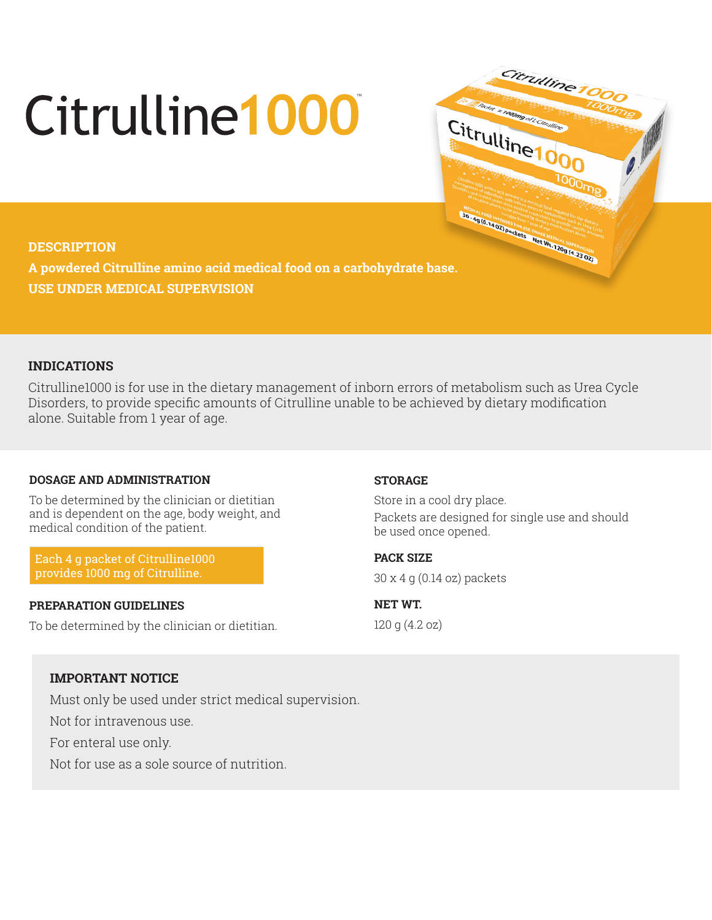# Citrulline<sup>1</sup>000

# **DESCRIPTION**

**A powdered Citrulline amino acid medical food on a carbohydrate base. USE UNDER MEDICAL SUPERVISION**

# **INDICATIONS**

Citrulline1000 is for use in the dietary management of inborn errors of metabolism such as Urea Cycle Disorders, to provide specific amounts of Citrulline unable to be achieved by dietary modification alone. Suitable from 1 year of age.

# **DOSAGE AND ADMINISTRATION**

To be determined by the clinician or dietitian and is dependent on the age, body weight, and medical condition of the patient.

Each 4 g packet of Citrulline1000 provides 1000 mg of Citrulline.

### **PREPARATION GUIDELINES**

To be determined by the clinician or dietitian.

### **STORAGE**

Store in a cool dry place. Packets are designed for single use and should be used once opened.

Citrulline

Citrulline 1000

**PACK SIZE**  30 x 4 g (0.14 oz) packets

**NET WT.**  120 g (4.2 oz)

# **IMPORTANT NOTICE**

Must only be used under strict medical supervision.

Not for intravenous use.

For enteral use only.

Not for use as a sole source of nutrition.